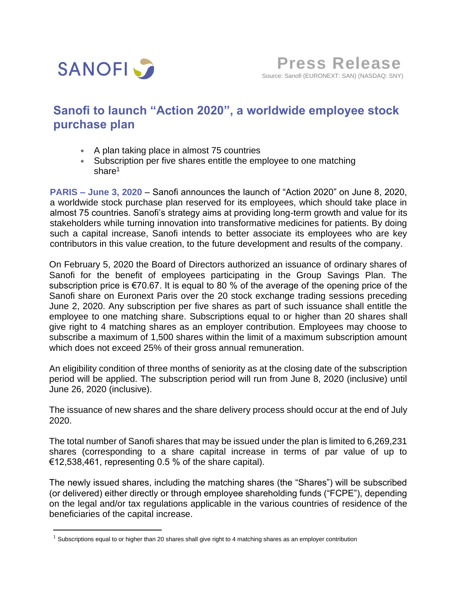

## **Sanofi to launch "Action 2020", a worldwide employee stock purchase plan**

- A plan taking place in almost 75 countries
- Subscription per five shares entitle the employee to one matching share<sup>1</sup>

**PARIS – June 3, 2020** – Sanofi announces the launch of "Action 2020" on June 8, 2020, a worldwide stock purchase plan reserved for its employees, which should take place in almost 75 countries. Sanofi's strategy aims at providing long-term growth and value for its stakeholders while turning innovation into transformative medicines for patients. By doing such a capital increase, Sanofi intends to better associate its employees who are key contributors in this value creation, to the future development and results of the company.

On February 5, 2020 the Board of Directors authorized an issuance of ordinary shares of Sanofi for the benefit of employees participating in the Group Savings Plan. The subscription price is €70.67. It is equal to 80 % of the average of the opening price of the Sanofi share on Euronext Paris over the 20 stock exchange trading sessions preceding June 2, 2020. Any subscription per five shares as part of such issuance shall entitle the employee to one matching share. Subscriptions equal to or higher than 20 shares shall give right to 4 matching shares as an employer contribution. Employees may choose to subscribe a maximum of 1,500 shares within the limit of a maximum subscription amount which does not exceed 25% of their gross annual remuneration.

An eligibility condition of three months of seniority as at the closing date of the subscription period will be applied. The subscription period will run from June 8, 2020 (inclusive) until June 26, 2020 (inclusive).

The issuance of new shares and the share delivery process should occur at the end of July 2020.

The total number of Sanofi shares that may be issued under the plan is limited to 6,269,231 shares (corresponding to a share capital increase in terms of par value of up to €12,538,461, representing 0.5 % of the share capital).

The newly issued shares, including the matching shares (the "Shares") will be subscribed (or delivered) either directly or through employee shareholding funds ("FCPE"), depending on the legal and/or tax regulations applicable in the various countries of residence of the beneficiaries of the capital increase.

 $1$  Subscriptions equal to or higher than 20 shares shall give right to 4 matching shares as an employer contribution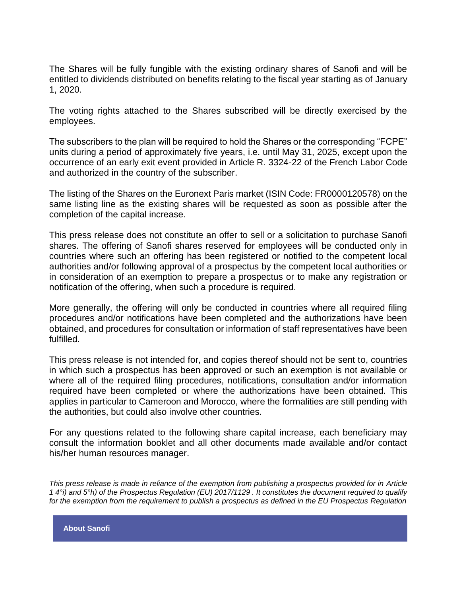The Shares will be fully fungible with the existing ordinary shares of Sanofi and will be entitled to dividends distributed on benefits relating to the fiscal year starting as of January 1, 2020.

The voting rights attached to the Shares subscribed will be directly exercised by the employees.

The subscribers to the plan will be required to hold the Shares or the corresponding "FCPE" units during a period of approximately five years, i.e. until May 31, 2025, except upon the occurrence of an early exit event provided in Article R. 3324-22 of the French Labor Code and authorized in the country of the subscriber.

The listing of the Shares on the Euronext Paris market (ISIN Code: FR0000120578) on the same listing line as the existing shares will be requested as soon as possible after the completion of the capital increase.

This press release does not constitute an offer to sell or a solicitation to purchase Sanofi shares. The offering of Sanofi shares reserved for employees will be conducted only in countries where such an offering has been registered or notified to the competent local authorities and/or following approval of a prospectus by the competent local authorities or in consideration of an exemption to prepare a prospectus or to make any registration or notification of the offering, when such a procedure is required.

More generally, the offering will only be conducted in countries where all required filing procedures and/or notifications have been completed and the authorizations have been obtained, and procedures for consultation or information of staff representatives have been fulfilled.

This press release is not intended for, and copies thereof should not be sent to, countries in which such a prospectus has been approved or such an exemption is not available or where all of the required filing procedures, notifications, consultation and/or information required have been completed or where the authorizations have been obtained. This applies in particular to Cameroon and Morocco, where the formalities are still pending with the authorities, but could also involve other countries.

For any questions related to the following share capital increase, each beneficiary may consult the information booklet and all other documents made available and/or contact his/her human resources manager.

*This press release is made in reliance of the exemption from publishing a prospectus provided for in Article 1 4°i) and 5°h) of the Prospectus Regulation (EU) 2017/1129 . It constitutes the document required to qualify for the exemption from the requirement to publish a prospectus as defined in the EU Prospectus Regulation*

**About Sanofi**